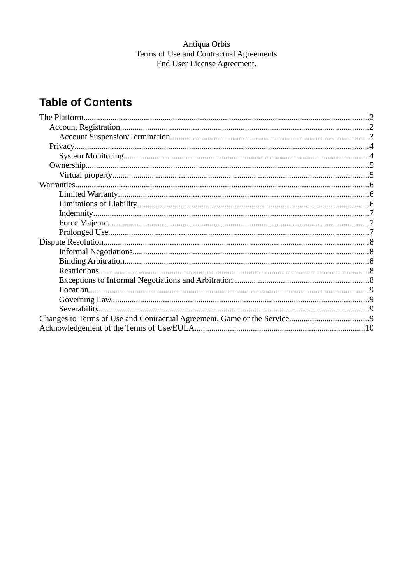# Antiqua Orbis<br>Terms of Use and Contractual Agreements<br>End User License Agreement.

## **Table of Contents**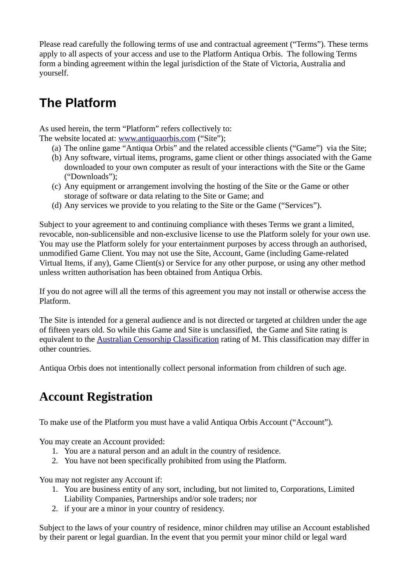Please read carefully the following terms of use and contractual agreement ("Terms"). These terms apply to all aspects of your access and use to the Platform Antiqua Orbis. The following Terms form a binding agreement within the legal jurisdiction of the State of Victoria, Australia and yourself.

# <span id="page-1-0"></span>**The Platform**

As used herein, the term "Platform" refers collectively to:

- The website located at: [www.antiquaorbis.com](http://www.antiquaorbis.com/) ("Site");
	- (a) The online game "Antiqua Orbis" and the related accessible clients ("Game") via the Site;
	- (b) Any software, virtual items, programs, game client or other things associated with the Game downloaded to your own computer as result of your interactions with the Site or the Game ("Downloads");
	- (c) Any equipment or arrangement involving the hosting of the Site or the Game or other storage of software or data relating to the Site or Game; and
	- (d) Any services we provide to you relating to the Site or the Game ("Services").

Subject to your agreement to and continuing compliance with theses Terms we grant a limited, revocable, non-sublicensible and non-exclusive license to use the Platform solely for your own use. You may use the Platform solely for your entertainment purposes by access through an authorised, unmodified Game Client. You may not use the Site, Account, Game (including Game-related Virtual Items, if any), Game Client(s) or Service for any other purpose, or using any other method unless written authorisation has been obtained from Antiqua Orbis.

If you do not agree will all the terms of this agreement you may not install or otherwise access the Platform.

The Site is intended for a general audience and is not directed or targeted at children under the age of fifteen years old. So while this Game and Site is unclassified, the Game and Site rating is equivalent to the [Australian Censorship Classification](http://www.classification.gov.au/Public/Resources/Documents/fact-sheets/information-sheet-for-parents-and-children.pdf) rating of M. This classification may differ in other countries.

Antiqua Orbis does not intentionally collect personal information from children of such age.

## <span id="page-1-1"></span>**Account Registration**

To make use of the Platform you must have a valid Antiqua Orbis Account ("Account").

You may create an Account provided:

- 1. You are a natural person and an adult in the country of residence.
- 2. You have not been specifically prohibited from using the Platform.

You may not register any Account if:

- 1. You are business entity of any sort, including, but not limited to, Corporations, Limited Liability Companies, Partnerships and/or sole traders; nor
- 2. if your are a minor in your country of residency.

Subject to the laws of your country of residence, minor children may utilise an Account established by their parent or legal guardian. In the event that you permit your minor child or legal ward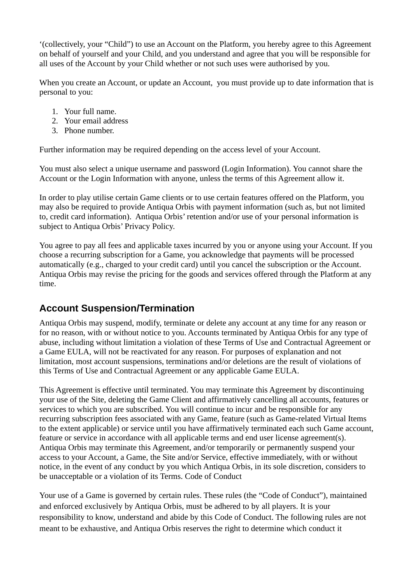'(collectively, your "Child") to use an Account on the Platform, you hereby agree to this Agreement on behalf of yourself and your Child, and you understand and agree that you will be responsible for all uses of the Account by your Child whether or not such uses were authorised by you.

When you create an Account, or update an Account, you must provide up to date information that is personal to you:

- 1. Your full name.
- 2. Your email address
- 3. Phone number.

Further information may be required depending on the access level of your Account.

You must also select a unique username and password (Login Information). You cannot share the Account or the Login Information with anyone, unless the terms of this Agreement allow it.

In order to play utilise certain Game clients or to use certain features offered on the Platform, you may also be required to provide Antiqua Orbis with payment information (such as, but not limited to, credit card information). Antiqua Orbis' retention and/or use of your personal information is subject to Antiqua Orbis' Privacy Policy.

You agree to pay all fees and applicable taxes incurred by you or anyone using your Account. If you choose a recurring subscription for a Game, you acknowledge that payments will be processed automatically (e.g., charged to your credit card) until you cancel the subscription or the Account. Antiqua Orbis may revise the pricing for the goods and services offered through the Platform at any time.

#### <span id="page-2-0"></span>**Account Suspension/Termination**

Antiqua Orbis may suspend, modify, terminate or delete any account at any time for any reason or for no reason, with or without notice to you. Accounts terminated by Antiqua Orbis for any type of abuse, including without limitation a violation of these Terms of Use and Contractual Agreement or a Game EULA, will not be reactivated for any reason. For purposes of explanation and not limitation, most account suspensions, terminations and/or deletions are the result of violations of this Terms of Use and Contractual Agreement or any applicable Game EULA.

This Agreement is effective until terminated. You may terminate this Agreement by discontinuing your use of the Site, deleting the Game Client and affirmatively cancelling all accounts, features or services to which you are subscribed. You will continue to incur and be responsible for any recurring subscription fees associated with any Game, feature (such as Game-related Virtual Items to the extent applicable) or service until you have affirmatively terminated each such Game account, feature or service in accordance with all applicable terms and end user license agreement(s). Antiqua Orbis may terminate this Agreement, and/or temporarily or permanently suspend your access to your Account, a Game, the Site and/or Service, effective immediately, with or without notice, in the event of any conduct by you which Antiqua Orbis, in its sole discretion, considers to be unacceptable or a violation of its Terms. Code of Conduct

Your use of a Game is governed by certain rules. These rules (the "Code of Conduct"), maintained and enforced exclusively by Antiqua Orbis, must be adhered to by all players. It is your responsibility to know, understand and abide by this Code of Conduct. The following rules are not meant to be exhaustive, and Antiqua Orbis reserves the right to determine which conduct it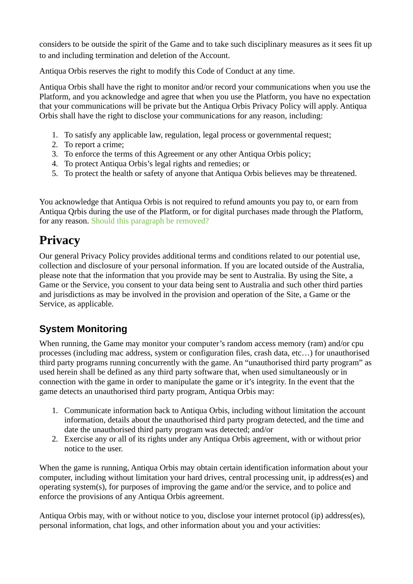considers to be outside the spirit of the Game and to take such disciplinary measures as it sees fit up to and including termination and deletion of the Account.

Antiqua Orbis reserves the right to modify this Code of Conduct at any time.

Antiqua Orbis shall have the right to monitor and/or record your communications when you use the Platform, and you acknowledge and agree that when you use the Platform, you have no expectation that your communications will be private but the Antiqua Orbis Privacy Policy will apply. Antiqua Orbis shall have the right to disclose your communications for any reason, including:

- 1. To satisfy any applicable law, regulation, legal process or governmental request;
- 2. To report a crime;
- 3. To enforce the terms of this Agreement or any other Antiqua Orbis policy;
- 4. To protect Antiqua Orbis's legal rights and remedies; or
- 5. To protect the health or safety of anyone that Antiqua Orbis believes may be threatened.

You acknowledge that Antiqua Orbis is not required to refund amounts you pay to, or earn from Antiqua Qrbis during the use of the Platform, or for digital purchases made through the Platform, for any reason. Should this paragraph be removed?

## <span id="page-3-1"></span>**Privacy**

Our general Privacy Policy provides additional terms and conditions related to our potential use, collection and disclosure of your personal information. If you are located outside of the Australia, please note that the information that you provide may be sent to Australia. By using the Site, a Game or the Service, you consent to your data being sent to Australia and such other third parties and jurisdictions as may be involved in the provision and operation of the Site, a Game or the Service, as applicable.

#### <span id="page-3-0"></span>**System Monitoring**

When running, the Game may monitor your computer's random access memory (ram) and/or cpu processes (including mac address, system or configuration files, crash data, etc…) for unauthorised third party programs running concurrently with the game. An "unauthorised third party program" as used herein shall be defined as any third party software that, when used simultaneously or in connection with the game in order to manipulate the game or it's integrity. In the event that the game detects an unauthorised third party program, Antiqua Orbis may:

- 1. Communicate information back to Antiqua Orbis, including without limitation the account information, details about the unauthorised third party program detected, and the time and date the unauthorised third party program was detected; and/or
- 2. Exercise any or all of its rights under any Antiqua Orbis agreement, with or without prior notice to the user.

When the game is running, Antiqua Orbis may obtain certain identification information about your computer, including without limitation your hard drives, central processing unit, ip address(es) and operating system(s), for purposes of improving the game and/or the service, and to police and enforce the provisions of any Antiqua Orbis agreement.

Antiqua Orbis may, with or without notice to you, disclose your internet protocol (ip) address(es), personal information, chat logs, and other information about you and your activities: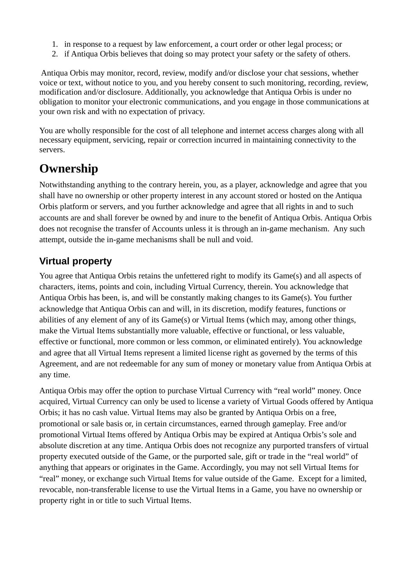- 1. in response to a request by law enforcement, a court order or other legal process; or
- 2. if Antiqua Orbis believes that doing so may protect your safety or the safety of others.

 Antiqua Orbis may monitor, record, review, modify and/or disclose your chat sessions, whether voice or text, without notice to you, and you hereby consent to such monitoring, recording, review, modification and/or disclosure. Additionally, you acknowledge that Antiqua Orbis is under no obligation to monitor your electronic communications, and you engage in those communications at your own risk and with no expectation of privacy.

You are wholly responsible for the cost of all telephone and internet access charges along with all necessary equipment, servicing, repair or correction incurred in maintaining connectivity to the servers.

### <span id="page-4-1"></span>**Ownership**

Notwithstanding anything to the contrary herein, you, as a player, acknowledge and agree that you shall have no ownership or other property interest in any account stored or hosted on the Antiqua Orbis platform or servers, and you further acknowledge and agree that all rights in and to such accounts are and shall forever be owned by and inure to the benefit of Antiqua Orbis. Antiqua Orbis does not recognise the transfer of Accounts unless it is through an in-game mechanism. Any such attempt, outside the in-game mechanisms shall be null and void.

#### <span id="page-4-0"></span>**Virtual property**

You agree that Antiqua Orbis retains the unfettered right to modify its Game(s) and all aspects of characters, items, points and coin, including Virtual Currency, therein. You acknowledge that Antiqua Orbis has been, is, and will be constantly making changes to its Game(s). You further acknowledge that Antiqua Orbis can and will, in its discretion, modify features, functions or abilities of any element of any of its Game(s) or Virtual Items (which may, among other things, make the Virtual Items substantially more valuable, effective or functional, or less valuable, effective or functional, more common or less common, or eliminated entirely). You acknowledge and agree that all Virtual Items represent a limited license right as governed by the terms of this Agreement, and are not redeemable for any sum of money or monetary value from Antiqua Orbis at any time.

Antiqua Orbis may offer the option to purchase Virtual Currency with "real world" money. Once acquired, Virtual Currency can only be used to license a variety of Virtual Goods offered by Antiqua Orbis; it has no cash value. Virtual Items may also be granted by Antiqua Orbis on a free, promotional or sale basis or, in certain circumstances, earned through gameplay. Free and/or promotional Virtual Items offered by Antiqua Orbis may be expired at Antiqua Orbis's sole and absolute discretion at any time. Antiqua Orbis does not recognize any purported transfers of virtual property executed outside of the Game, or the purported sale, gift or trade in the "real world" of anything that appears or originates in the Game. Accordingly, you may not sell Virtual Items for "real" money, or exchange such Virtual Items for value outside of the Game. Except for a limited, revocable, non-transferable license to use the Virtual Items in a Game, you have no ownership or property right in or title to such Virtual Items.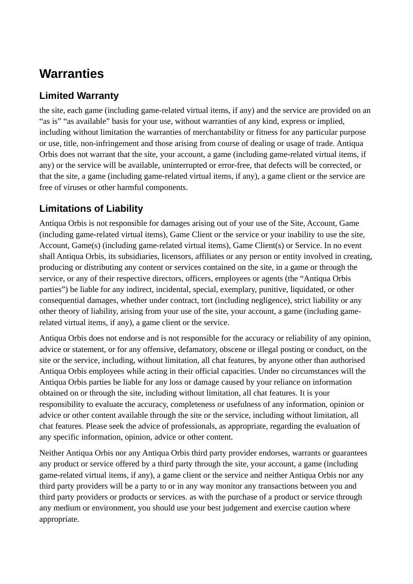# <span id="page-5-2"></span>**Warranties**

#### <span id="page-5-1"></span>**Limited Warranty**

the site, each game (including game-related virtual items, if any) and the service are provided on an "as is" "as available" basis for your use, without warranties of any kind, express or implied, including without limitation the warranties of merchantability or fitness for any particular purpose or use, title, non-infringement and those arising from course of dealing or usage of trade. Antiqua Orbis does not warrant that the site, your account, a game (including game-related virtual items, if any) or the service will be available, uninterrupted or error-free, that defects will be corrected, or that the site, a game (including game-related virtual items, if any), a game client or the service are free of viruses or other harmful components.

#### <span id="page-5-0"></span>**Limitations of Liability**

Antiqua Orbis is not responsible for damages arising out of your use of the Site, Account, Game (including game-related virtual items), Game Client or the service or your inability to use the site, Account, Game(s) (including game-related virtual items), Game Client(s) or Service. In no event shall Antiqua Orbis, its subsidiaries, licensors, affiliates or any person or entity involved in creating, producing or distributing any content or services contained on the site, in a game or through the service, or any of their respective directors, officers, employees or agents (the "Antiqua Orbis parties") be liable for any indirect, incidental, special, exemplary, punitive, liquidated, or other consequential damages, whether under contract, tort (including negligence), strict liability or any other theory of liability, arising from your use of the site, your account, a game (including gamerelated virtual items, if any), a game client or the service.

Antiqua Orbis does not endorse and is not responsible for the accuracy or reliability of any opinion, advice or statement, or for any offensive, defamatory, obscene or illegal posting or conduct, on the site or the service, including, without limitation, all chat features, by anyone other than authorised Antiqua Orbis employees while acting in their official capacities. Under no circumstances will the Antiqua Orbis parties be liable for any loss or damage caused by your reliance on information obtained on or through the site, including without limitation, all chat features. It is your responsibility to evaluate the accuracy, completeness or usefulness of any information, opinion or advice or other content available through the site or the service, including without limitation, all chat features. Please seek the advice of professionals, as appropriate, regarding the evaluation of any specific information, opinion, advice or other content.

Neither Antiqua Orbis nor any Antiqua Orbis third party provider endorses, warrants or guarantees any product or service offered by a third party through the site, your account, a game (including game-related virtual items, if any), a game client or the service and neither Antiqua Orbis nor any third party providers will be a party to or in any way monitor any transactions between you and third party providers or products or services. as with the purchase of a product or service through any medium or environment, you should use your best judgement and exercise caution where appropriate.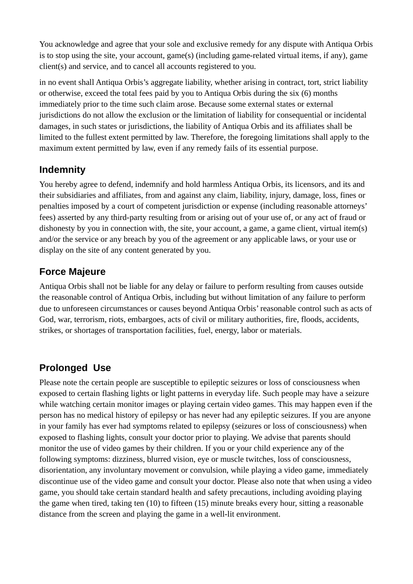You acknowledge and agree that your sole and exclusive remedy for any dispute with Antiqua Orbis is to stop using the site, your account, game(s) (including game-related virtual items, if any), game client(s) and service, and to cancel all accounts registered to you.

in no event shall Antiqua Orbis's aggregate liability, whether arising in contract, tort, strict liability or otherwise, exceed the total fees paid by you to Antiqua Orbis during the six (6) months immediately prior to the time such claim arose. Because some external states or external jurisdictions do not allow the exclusion or the limitation of liability for consequential or incidental damages, in such states or jurisdictions, the liability of Antiqua Orbis and its affiliates shall be limited to the fullest extent permitted by law. Therefore, the foregoing limitations shall apply to the maximum extent permitted by law, even if any remedy fails of its essential purpose.

#### <span id="page-6-2"></span>**Indemnity**

You hereby agree to defend, indemnify and hold harmless Antiqua Orbis, its licensors, and its and their subsidiaries and affiliates, from and against any claim, liability, injury, damage, loss, fines or penalties imposed by a court of competent jurisdiction or expense (including reasonable attorneys' fees) asserted by any third-party resulting from or arising out of your use of, or any act of fraud or dishonesty by you in connection with, the site, your account, a game, a game client, virtual item(s) and/or the service or any breach by you of the agreement or any applicable laws, or your use or display on the site of any content generated by you.

#### <span id="page-6-1"></span>**Force Majeure**

Antiqua Orbis shall not be liable for any delay or failure to perform resulting from causes outside the reasonable control of Antiqua Orbis, including but without limitation of any failure to perform due to unforeseen circumstances or causes beyond Antiqua Orbis' reasonable control such as acts of God, war, terrorism, riots, embargoes, acts of civil or military authorities, fire, floods, accidents, strikes, or shortages of transportation facilities, fuel, energy, labor or materials.

#### <span id="page-6-0"></span>**Prolonged Use**

Please note the certain people are susceptible to epileptic seizures or loss of consciousness when exposed to certain flashing lights or light patterns in everyday life. Such people may have a seizure while watching certain monitor images or playing certain video games. This may happen even if the person has no medical history of epilepsy or has never had any epileptic seizures. If you are anyone in your family has ever had symptoms related to epilepsy (seizures or loss of consciousness) when exposed to flashing lights, consult your doctor prior to playing. We advise that parents should monitor the use of video games by their children. If you or your child experience any of the following symptoms: dizziness, blurred vision, eye or muscle twitches, loss of consciousness, disorientation, any involuntary movement or convulsion, while playing a video game, immediately discontinue use of the video game and consult your doctor. Please also note that when using a video game, you should take certain standard health and safety precautions, including avoiding playing the game when tired, taking ten (10) to fifteen (15) minute breaks every hour, sitting a reasonable distance from the screen and playing the game in a well-lit environment.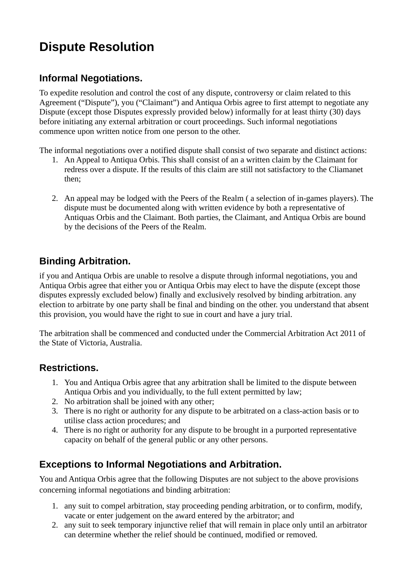# <span id="page-7-4"></span>**Dispute Resolution**

#### <span id="page-7-3"></span>**Informal Negotiations.**

To expedite resolution and control the cost of any dispute, controversy or claim related to this Agreement ("Dispute"), you ("Claimant") and Antiqua Orbis agree to first attempt to negotiate any Dispute (except those Disputes expressly provided below) informally for at least thirty (30) days before initiating any external arbitration or court proceedings. Such informal negotiations commence upon written notice from one person to the other.

The informal negotiations over a notified dispute shall consist of two separate and distinct actions:

- 1. An Appeal to Antiqua Orbis. This shall consist of an a written claim by the Claimant for redress over a dispute. If the results of this claim are still not satisfactory to the Cliamanet then;
- 2. An appeal may be lodged with the Peers of the Realm ( a selection of in-games players). The dispute must be documented along with written evidence by both a representative of Antiquas Orbis and the Claimant. Both parties, the Claimant, and Antiqua Orbis are bound by the decisions of the Peers of the Realm.

#### <span id="page-7-2"></span>**Binding Arbitration.**

if you and Antiqua Orbis are unable to resolve a dispute through informal negotiations, you and Antiqua Orbis agree that either you or Antiqua Orbis may elect to have the dispute (except those disputes expressly excluded below) finally and exclusively resolved by binding arbitration. any election to arbitrate by one party shall be final and binding on the other. you understand that absent this provision, you would have the right to sue in court and have a jury trial.

The arbitration shall be commenced and conducted under the Commercial Arbitration Act 2011 of the State of Victoria, Australia.

#### <span id="page-7-1"></span>**Restrictions.**

- 1. You and Antiqua Orbis agree that any arbitration shall be limited to the dispute between Antiqua Orbis and you individually, to the full extent permitted by law;
- 2. No arbitration shall be joined with any other;
- 3. There is no right or authority for any dispute to be arbitrated on a class-action basis or to utilise class action procedures; and
- 4. There is no right or authority for any dispute to be brought in a purported representative capacity on behalf of the general public or any other persons.

#### <span id="page-7-0"></span>**Exceptions to Informal Negotiations and Arbitration.**

You and Antiqua Orbis agree that the following Disputes are not subject to the above provisions concerning informal negotiations and binding arbitration:

- 1. any suit to compel arbitration, stay proceeding pending arbitration, or to confirm, modify, vacate or enter judgement on the award entered by the arbitrator; and
- 2. any suit to seek temporary injunctive relief that will remain in place only until an arbitrator can determine whether the relief should be continued, modified or removed.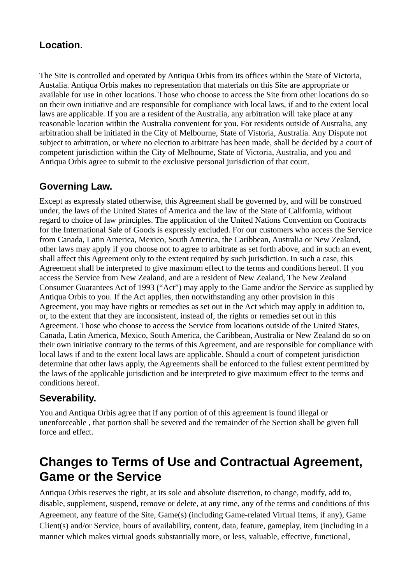#### <span id="page-8-3"></span>**Location.**

The Site is controlled and operated by Antiqua Orbis from its offices within the State of Victoria, Austalia. Antiqua Orbis makes no representation that materials on this Site are appropriate or available for use in other locations. Those who choose to access the Site from other locations do so on their own initiative and are responsible for compliance with local laws, if and to the extent local laws are applicable. If you are a resident of the Australia, any arbitration will take place at any reasonable location within the Australia convenient for you. For residents outside of Australia, any arbitration shall be initiated in the City of Melbourne, State of Vistoria, Australia. Any Dispute not subject to arbitration, or where no election to arbitrate has been made, shall be decided by a court of competent jurisdiction within the City of Melbourne, State of Victoria, Australia, and you and Antiqua Orbis agree to submit to the exclusive personal jurisdiction of that court.

#### <span id="page-8-2"></span>**Governing Law.**

Except as expressly stated otherwise, this Agreement shall be governed by, and will be construed under, the laws of the United States of America and the law of the State of California, without regard to choice of law principles. The application of the United Nations Convention on Contracts for the International Sale of Goods is expressly excluded. For our customers who access the Service from Canada, Latin America, Mexico, South America, the Caribbean, Australia or New Zealand, other laws may apply if you choose not to agree to arbitrate as set forth above, and in such an event, shall affect this Agreement only to the extent required by such jurisdiction. In such a case, this Agreement shall be interpreted to give maximum effect to the terms and conditions hereof. If you access the Service from New Zealand, and are a resident of New Zealand, The New Zealand Consumer Guarantees Act of 1993 ("Act") may apply to the Game and/or the Service as supplied by Antiqua Orbis to you. If the Act applies, then notwithstanding any other provision in this Agreement, you may have rights or remedies as set out in the Act which may apply in addition to, or, to the extent that they are inconsistent, instead of, the rights or remedies set out in this Agreement. Those who choose to access the Service from locations outside of the United States, Canada, Latin America, Mexico, South America, the Caribbean, Australia or New Zealand do so on their own initiative contrary to the terms of this Agreement, and are responsible for compliance with local laws if and to the extent local laws are applicable. Should a court of competent jurisdiction determine that other laws apply, the Agreements shall be enforced to the fullest extent permitted by the laws of the applicable jurisdiction and be interpreted to give maximum effect to the terms and conditions hereof.

#### <span id="page-8-1"></span>**Severability.**

You and Antiqua Orbis agree that if any portion of of this agreement is found illegal or unenforceable , that portion shall be severed and the remainder of the Section shall be given full force and effect.

## <span id="page-8-0"></span>**Changes to Terms of Use and Contractual Agreement, Game or the Service**

Antiqua Orbis reserves the right, at its sole and absolute discretion, to change, modify, add to, disable, supplement, suspend, remove or delete, at any time, any of the terms and conditions of this Agreement, any feature of the Site, Game(s) (including Game-related Virtual Items, if any), Game Client(s) and/or Service, hours of availability, content, data, feature, gameplay, item (including in a manner which makes virtual goods substantially more, or less, valuable, effective, functional,